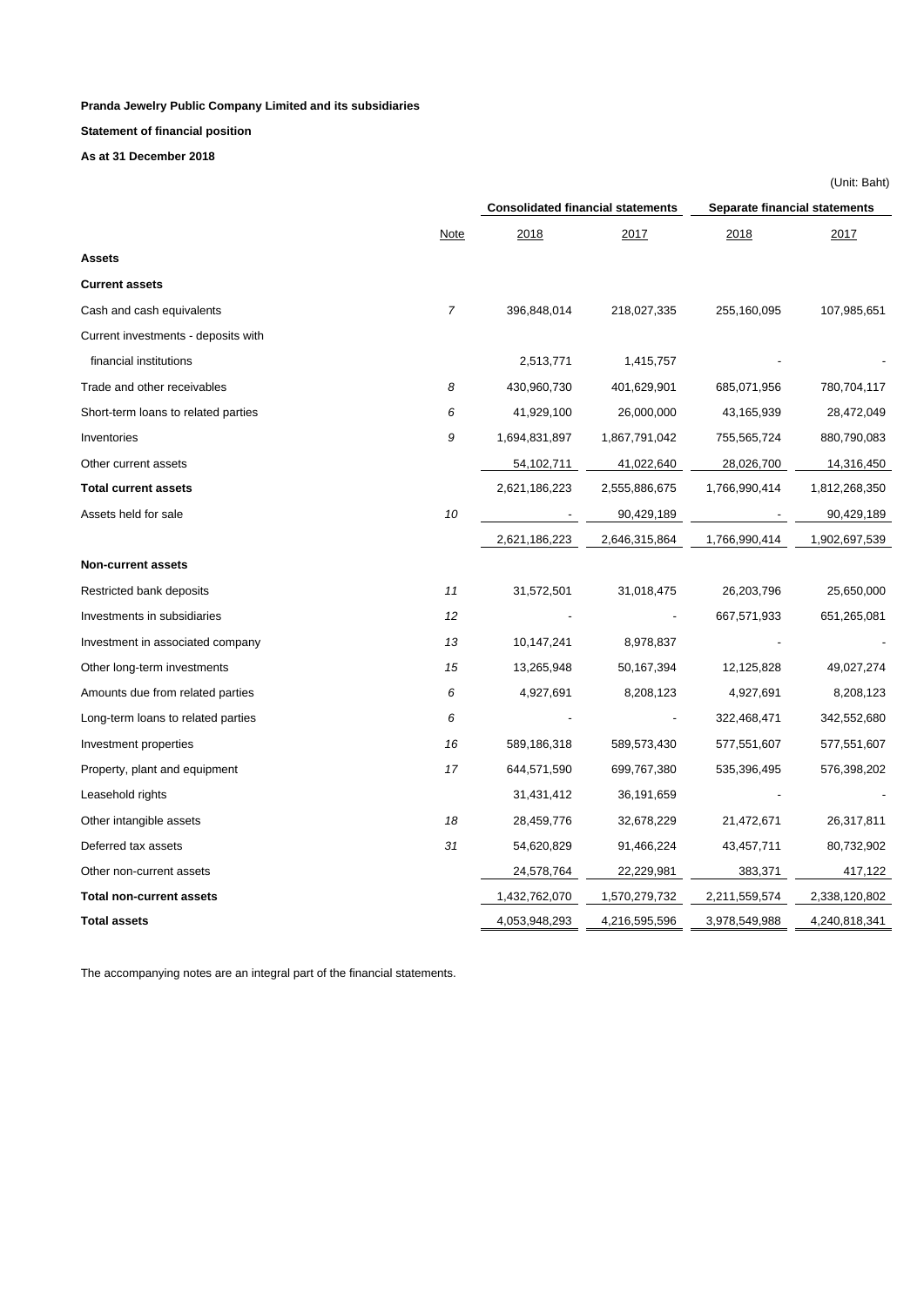**Statement of financial position**

**As at 31 December 2018**

|                                     |                |                                          |               |                               | (Unit: Baht)  |  |
|-------------------------------------|----------------|------------------------------------------|---------------|-------------------------------|---------------|--|
|                                     |                | <b>Consolidated financial statements</b> |               | Separate financial statements |               |  |
|                                     | <b>Note</b>    | 2018                                     | 2017          | 2018                          | 2017          |  |
| <b>Assets</b>                       |                |                                          |               |                               |               |  |
| <b>Current assets</b>               |                |                                          |               |                               |               |  |
| Cash and cash equivalents           | $\overline{7}$ | 396,848,014                              | 218,027,335   | 255,160,095                   | 107,985,651   |  |
| Current investments - deposits with |                |                                          |               |                               |               |  |
| financial institutions              |                | 2,513,771                                | 1,415,757     |                               |               |  |
| Trade and other receivables         | 8              | 430,960,730                              | 401,629,901   | 685,071,956                   | 780,704,117   |  |
| Short-term loans to related parties | 6              | 41,929,100                               | 26,000,000    | 43,165,939                    | 28,472,049    |  |
| Inventories                         | 9              | 1,694,831,897                            | 1,867,791,042 | 755,565,724                   | 880,790,083   |  |
| Other current assets                |                | 54,102,711                               | 41,022,640    | 28,026,700                    | 14,316,450    |  |
| <b>Total current assets</b>         |                | 2,621,186,223                            | 2,555,886,675 | 1,766,990,414                 | 1,812,268,350 |  |
| Assets held for sale                | 10             |                                          | 90,429,189    |                               | 90,429,189    |  |
|                                     |                | 2,621,186,223                            | 2,646,315,864 | 1,766,990,414                 | 1,902,697,539 |  |
| <b>Non-current assets</b>           |                |                                          |               |                               |               |  |
| Restricted bank deposits            | 11             | 31,572,501                               | 31,018,475    | 26,203,796                    | 25,650,000    |  |
| Investments in subsidiaries         | 12             |                                          |               | 667,571,933                   | 651,265,081   |  |
| Investment in associated company    | 13             | 10,147,241                               | 8,978,837     |                               |               |  |
| Other long-term investments         | 15             | 13,265,948                               | 50,167,394    | 12,125,828                    | 49,027,274    |  |
| Amounts due from related parties    | 6              | 4,927,691                                | 8,208,123     | 4,927,691                     | 8,208,123     |  |
| Long-term loans to related parties  | 6              |                                          |               | 322,468,471                   | 342,552,680   |  |
| Investment properties               | 16             | 589,186,318                              | 589,573,430   | 577,551,607                   | 577,551,607   |  |
| Property, plant and equipment       | 17             | 644,571,590                              | 699,767,380   | 535,396,495                   | 576,398,202   |  |
| Leasehold rights                    |                | 31,431,412                               | 36,191,659    |                               |               |  |
| Other intangible assets             | 18             | 28,459,776                               | 32,678,229    | 21,472,671                    | 26,317,811    |  |
| Deferred tax assets                 | 31             | 54,620,829                               | 91,466,224    | 43,457,711                    | 80,732,902    |  |
| Other non-current assets            |                | 24,578,764                               | 22,229,981    | 383,371                       | 417,122       |  |
| <b>Total non-current assets</b>     |                | 1,432,762,070                            | 1,570,279,732 | 2,211,559,574                 | 2,338,120,802 |  |
| <b>Total assets</b>                 |                | 4,053,948,293                            | 4,216,595,596 | 3,978,549,988                 | 4,240,818,341 |  |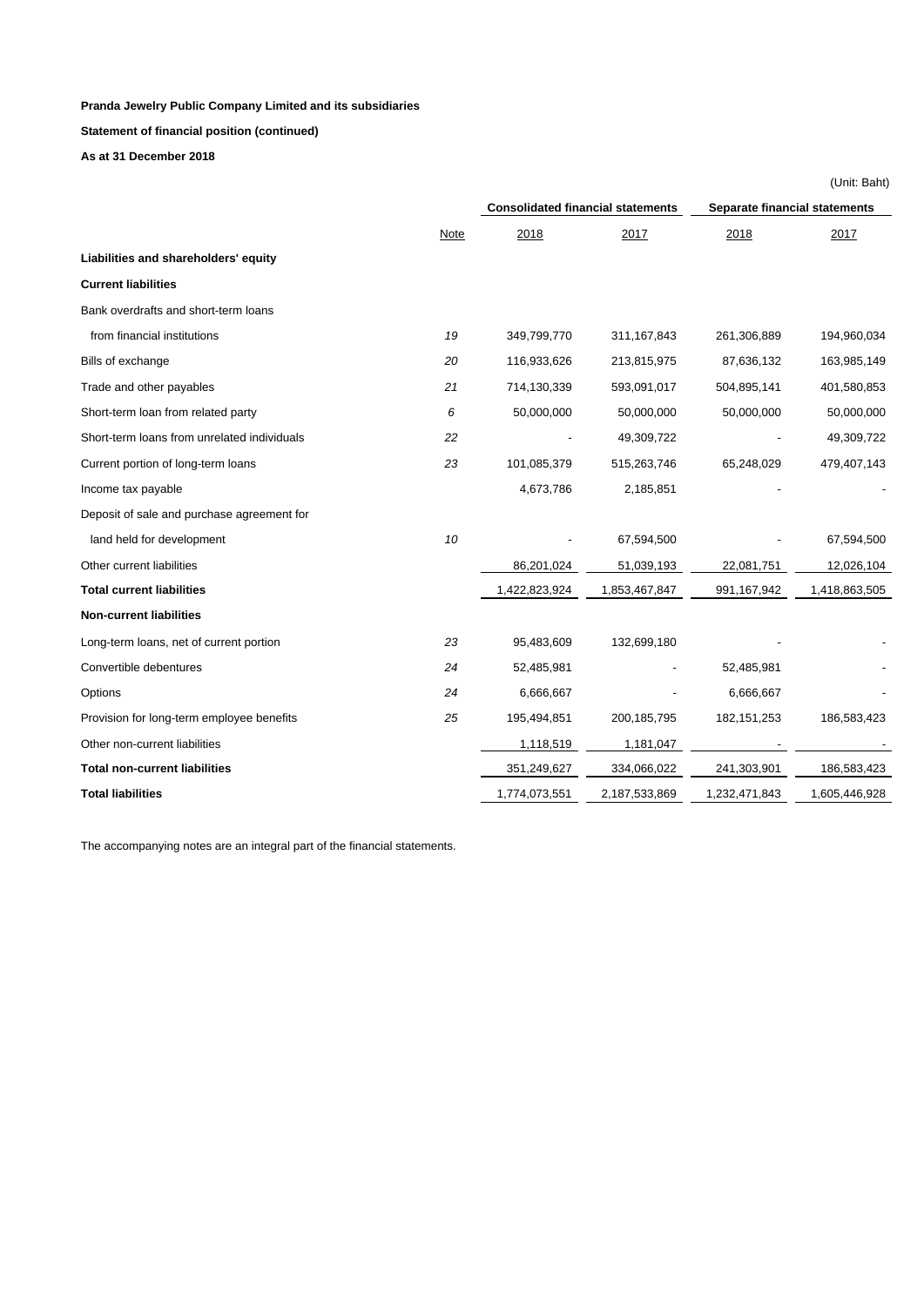**Statement of financial position (continued)**

**As at 31 December 2018**

|                                                   |               |                                          |                               | (Unit: Baht)  |
|---------------------------------------------------|---------------|------------------------------------------|-------------------------------|---------------|
|                                                   |               | <b>Consolidated financial statements</b> | Separate financial statements |               |
| <b>Note</b>                                       | 2018          | 2017                                     | 2018                          | 2017          |
| Liabilities and shareholders' equity              |               |                                          |                               |               |
| <b>Current liabilities</b>                        |               |                                          |                               |               |
| Bank overdrafts and short-term loans              |               |                                          |                               |               |
| 19<br>from financial institutions                 | 349,799,770   | 311, 167, 843                            | 261,306,889                   | 194,960,034   |
| Bills of exchange<br>20                           | 116,933,626   | 213,815,975                              | 87,636,132                    | 163,985,149   |
| Trade and other payables<br>21                    | 714,130,339   | 593,091,017                              | 504,895,141                   | 401,580,853   |
| 6<br>Short-term loan from related party           | 50,000,000    | 50,000,000                               | 50,000,000                    | 50,000,000    |
| Short-term loans from unrelated individuals<br>22 |               | 49,309,722                               |                               | 49,309,722    |
| Current portion of long-term loans<br>23          | 101,085,379   | 515,263,746                              | 65,248,029                    | 479,407,143   |
| Income tax payable                                | 4,673,786     | 2,185,851                                |                               |               |
| Deposit of sale and purchase agreement for        |               |                                          |                               |               |
| 10<br>land held for development                   |               | 67,594,500                               |                               | 67,594,500    |
| Other current liabilities                         | 86,201,024    | 51,039,193                               | 22,081,751                    | 12,026,104    |
| <b>Total current liabilities</b>                  | 1,422,823,924 | 1,853,467,847                            | 991,167,942                   | 1,418,863,505 |
| <b>Non-current liabilities</b>                    |               |                                          |                               |               |
| Long-term loans, net of current portion<br>23     | 95,483,609    | 132,699,180                              |                               |               |
| Convertible debentures<br>24                      | 52,485,981    |                                          | 52,485,981                    |               |
| 24<br>Options                                     | 6,666,667     |                                          | 6,666,667                     |               |
| Provision for long-term employee benefits<br>25   | 195,494,851   | 200, 185, 795                            | 182, 151, 253                 | 186,583,423   |
| Other non-current liabilities                     | 1,118,519     | 1,181,047                                |                               |               |
| <b>Total non-current liabilities</b>              | 351,249,627   | 334,066,022                              | 241,303,901                   | 186,583,423   |
| <b>Total liabilities</b>                          | 1,774,073,551 | 2,187,533,869                            | 1,232,471,843                 | 1,605,446,928 |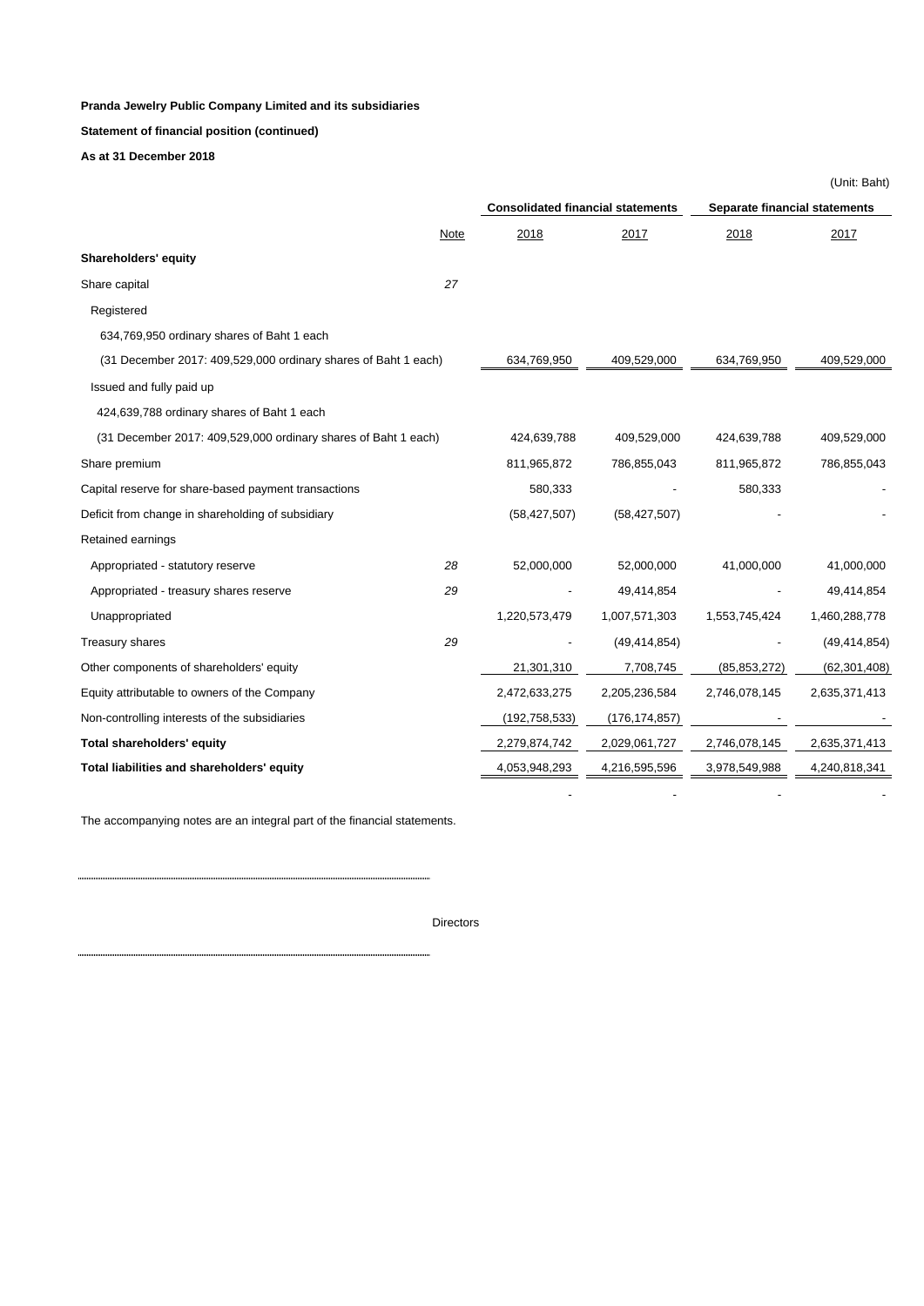**Statement of financial position (continued)**

**As at 31 December 2018**

|                                                                |      |                                          |                 |                               | (Unit: Baht)   |  |
|----------------------------------------------------------------|------|------------------------------------------|-----------------|-------------------------------|----------------|--|
|                                                                |      | <b>Consolidated financial statements</b> |                 | Separate financial statements |                |  |
|                                                                | Note | 2018                                     | 2017            | 2018                          | 2017           |  |
| Shareholders' equity                                           |      |                                          |                 |                               |                |  |
| Share capital                                                  | 27   |                                          |                 |                               |                |  |
| Registered                                                     |      |                                          |                 |                               |                |  |
| 634,769,950 ordinary shares of Baht 1 each                     |      |                                          |                 |                               |                |  |
| (31 December 2017: 409,529,000 ordinary shares of Baht 1 each) |      | 634,769,950                              | 409,529,000     | 634,769,950                   | 409,529,000    |  |
| Issued and fully paid up                                       |      |                                          |                 |                               |                |  |
| 424,639,788 ordinary shares of Baht 1 each                     |      |                                          |                 |                               |                |  |
| (31 December 2017: 409,529,000 ordinary shares of Baht 1 each) |      | 424,639,788                              | 409,529,000     | 424,639,788                   | 409,529,000    |  |
| Share premium                                                  |      | 811,965,872                              | 786,855,043     | 811,965,872                   | 786,855,043    |  |
| Capital reserve for share-based payment transactions           |      | 580,333                                  |                 | 580,333                       |                |  |
| Deficit from change in shareholding of subsidiary              |      | (58, 427, 507)                           | (58, 427, 507)  |                               |                |  |
| Retained earnings                                              |      |                                          |                 |                               |                |  |
| Appropriated - statutory reserve                               | 28   | 52,000,000                               | 52,000,000      | 41,000,000                    | 41,000,000     |  |
| Appropriated - treasury shares reserve                         | 29   |                                          | 49,414,854      |                               | 49,414,854     |  |
| Unappropriated                                                 |      | 1,220,573,479                            | 1,007,571,303   | 1,553,745,424                 | 1,460,288,778  |  |
| Treasury shares                                                | 29   |                                          | (49, 414, 854)  |                               | (49, 414, 854) |  |
| Other components of shareholders' equity                       |      | 21,301,310                               | 7,708,745       | (85, 853, 272)                | (62, 301, 408) |  |
| Equity attributable to owners of the Company                   |      | 2,472,633,275                            | 2,205,236,584   | 2,746,078,145                 | 2,635,371,413  |  |
| Non-controlling interests of the subsidiaries                  |      | (192, 758, 533)                          | (176, 174, 857) |                               |                |  |
| Total shareholders' equity                                     |      | 2,279,874,742                            | 2,029,061,727   | 2,746,078,145                 | 2,635,371,413  |  |
| Total liabilities and shareholders' equity                     |      | 4,053,948,293                            | 4,216,595,596   | 3,978,549,988                 | 4,240,818,341  |  |
|                                                                |      |                                          |                 |                               |                |  |

The accompanying notes are an integral part of the financial statements.

Directors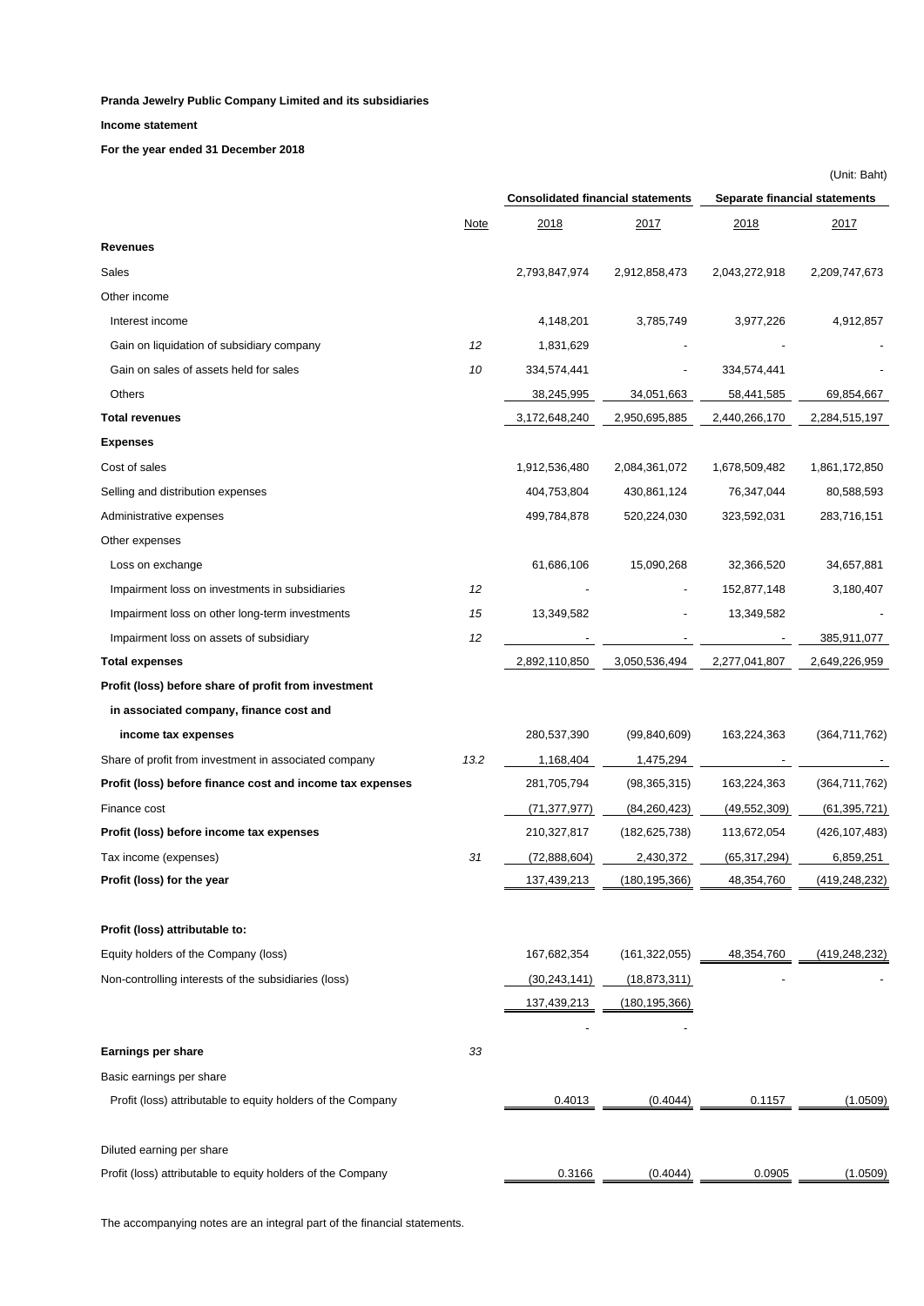### **Income statement**

**For the year ended 31 December 2018**

|                                                             |             |                                          |                 |                               | (Unit: Baht)    |  |  |
|-------------------------------------------------------------|-------------|------------------------------------------|-----------------|-------------------------------|-----------------|--|--|
|                                                             |             | <b>Consolidated financial statements</b> |                 | Separate financial statements |                 |  |  |
|                                                             | <b>Note</b> | 2018                                     | <u> 2017 </u>   | <u> 2018</u>                  | 2017            |  |  |
| <b>Revenues</b>                                             |             |                                          |                 |                               |                 |  |  |
| Sales                                                       |             | 2,793,847,974                            | 2,912,858,473   | 2,043,272,918                 | 2,209,747,673   |  |  |
| Other income                                                |             |                                          |                 |                               |                 |  |  |
| Interest income                                             |             | 4,148,201                                | 3,785,749       | 3,977,226                     | 4,912,857       |  |  |
| Gain on liquidation of subsidiary company                   | 12          | 1,831,629                                |                 |                               |                 |  |  |
| Gain on sales of assets held for sales                      | 10          | 334,574,441                              |                 | 334,574,441                   |                 |  |  |
| Others                                                      |             | 38,245,995                               | 34,051,663      | 58,441,585                    | 69,854,667      |  |  |
| <b>Total revenues</b>                                       |             | 3,172,648,240                            | 2,950,695,885   | 2,440,266,170                 | 2,284,515,197   |  |  |
| <b>Expenses</b>                                             |             |                                          |                 |                               |                 |  |  |
| Cost of sales                                               |             | 1,912,536,480                            | 2,084,361,072   | 1,678,509,482                 | 1,861,172,850   |  |  |
| Selling and distribution expenses                           |             | 404,753,804                              | 430,861,124     | 76,347,044                    | 80,588,593      |  |  |
| Administrative expenses                                     |             | 499,784,878                              | 520,224,030     | 323,592,031                   | 283,716,151     |  |  |
| Other expenses                                              |             |                                          |                 |                               |                 |  |  |
| Loss on exchange                                            |             | 61,686,106                               | 15,090,268      | 32,366,520                    | 34,657,881      |  |  |
| Impairment loss on investments in subsidiaries              | 12          |                                          |                 | 152,877,148                   | 3,180,407       |  |  |
| Impairment loss on other long-term investments              | 15          | 13,349,582                               |                 | 13,349,582                    |                 |  |  |
| Impairment loss on assets of subsidiary                     | 12          |                                          |                 |                               | 385,911,077     |  |  |
| <b>Total expenses</b>                                       |             | 2,892,110,850                            | 3,050,536,494   | 2,277,041,807                 | 2,649,226,959   |  |  |
| Profit (loss) before share of profit from investment        |             |                                          |                 |                               |                 |  |  |
| in associated company, finance cost and                     |             |                                          |                 |                               |                 |  |  |
| income tax expenses                                         |             | 280,537,390                              | (99, 840, 609)  | 163,224,363                   | (364, 711, 762) |  |  |
| Share of profit from investment in associated company       | 13.2        | 1,168,404                                | 1,475,294       |                               |                 |  |  |
| Profit (loss) before finance cost and income tax expenses   |             | 281,705,794                              | (98, 365, 315)  | 163,224,363                   | (364, 711, 762) |  |  |
| Finance cost                                                |             | (71, 377, 977)                           | (84, 260, 423)  | (49, 552, 309)                | (61, 395, 721)  |  |  |
| Profit (loss) before income tax expenses                    |             | 210,327,817                              | (182, 625, 738) | 113,672,054                   | (426, 107, 483) |  |  |
| Tax income (expenses)                                       | 31          | (72,888,604)                             | 2,430,372       | (65, 317, 294)                | 6,859,251       |  |  |
| Profit (loss) for the year                                  |             | 137,439,213                              | (180,195,366)   | 48,354,760                    | (419,248,232)   |  |  |
| Profit (loss) attributable to:                              |             |                                          |                 |                               |                 |  |  |
| Equity holders of the Company (loss)                        |             | 167,682,354                              | (161, 322, 055) | 48,354,760                    | (419, 248, 232) |  |  |
| Non-controlling interests of the subsidiaries (loss)        |             |                                          | (18, 873, 311)  |                               |                 |  |  |
|                                                             |             | (30,243,141)<br>137,439,213              | (180,195,366)   |                               |                 |  |  |
|                                                             |             |                                          |                 |                               |                 |  |  |
| <b>Earnings per share</b>                                   | 33          |                                          |                 |                               |                 |  |  |
| Basic earnings per share                                    |             |                                          |                 |                               |                 |  |  |
| Profit (loss) attributable to equity holders of the Company |             | 0.4013                                   | (0.4044)        | 0.1157                        | (1.0509)        |  |  |
| Diluted earning per share                                   |             |                                          |                 |                               |                 |  |  |
| Profit (loss) attributable to equity holders of the Company |             | 0.3166                                   | (0.4044)        | 0.0905                        | (1.0509)        |  |  |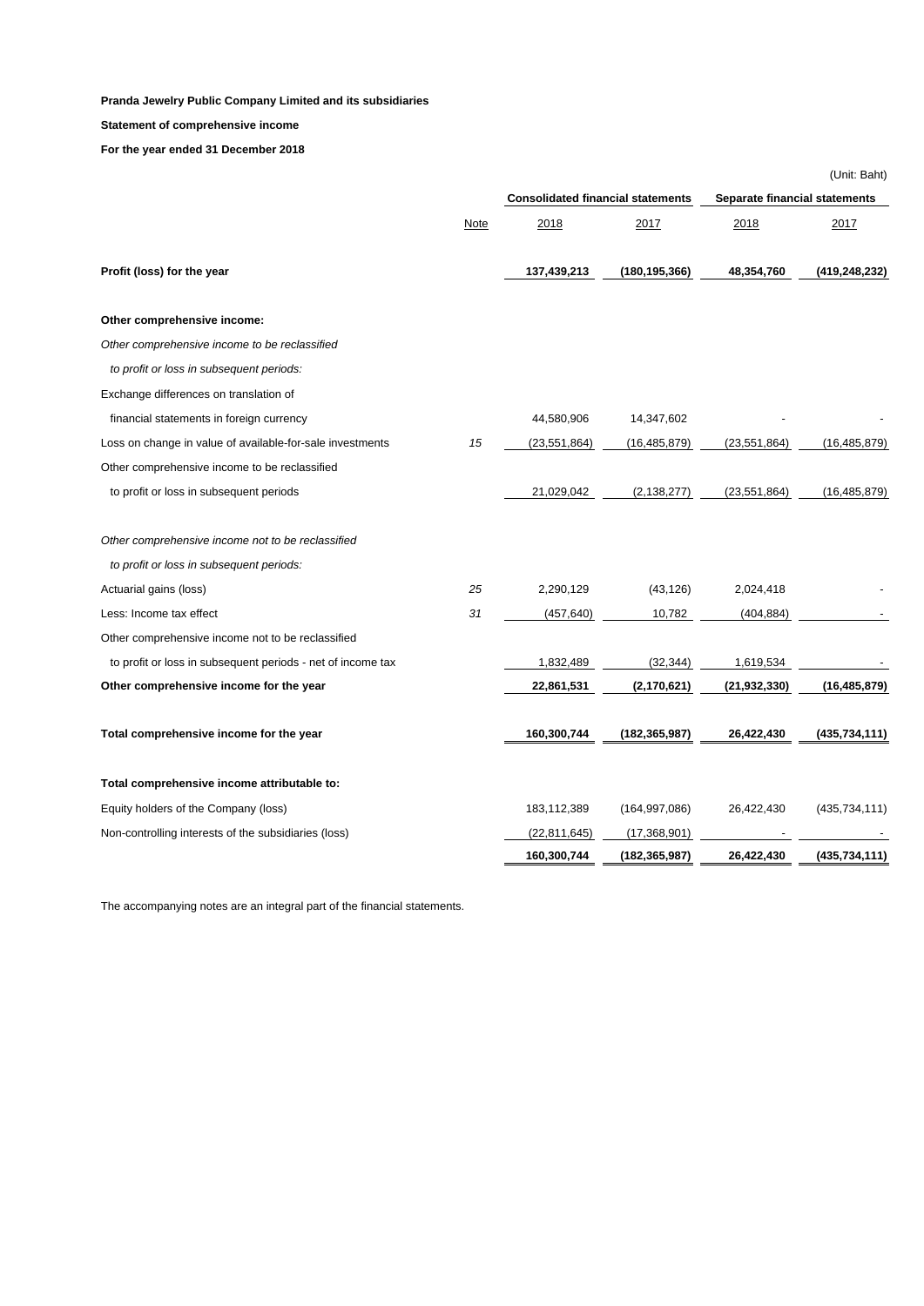### **Statement of comprehensive income**

**For the year ended 31 December 2018**

|                                                             |      |                                          |                 |                               | (Unit: Baht)    |  |
|-------------------------------------------------------------|------|------------------------------------------|-----------------|-------------------------------|-----------------|--|
|                                                             |      | <b>Consolidated financial statements</b> |                 | Separate financial statements |                 |  |
|                                                             | Note | 2018                                     | 2017            | 2018                          | 2017            |  |
| Profit (loss) for the year                                  |      | 137,439,213                              | (180,195,366)   | 48,354,760                    | (419,248,232)   |  |
| Other comprehensive income:                                 |      |                                          |                 |                               |                 |  |
| Other comprehensive income to be reclassified               |      |                                          |                 |                               |                 |  |
| to profit or loss in subsequent periods:                    |      |                                          |                 |                               |                 |  |
| Exchange differences on translation of                      |      |                                          |                 |                               |                 |  |
| financial statements in foreign currency                    |      | 44,580,906                               | 14,347,602      |                               |                 |  |
| Loss on change in value of available-for-sale investments   | 15   | (23, 551, 864)                           | (16, 485, 879)  | (23, 551, 864)                | (16, 485, 879)  |  |
| Other comprehensive income to be reclassified               |      |                                          |                 |                               |                 |  |
| to profit or loss in subsequent periods                     |      | 21,029,042                               | (2, 138, 277)   | (23, 551, 864)                | (16, 485, 879)  |  |
| Other comprehensive income not to be reclassified           |      |                                          |                 |                               |                 |  |
| to profit or loss in subsequent periods:                    |      |                                          |                 |                               |                 |  |
| Actuarial gains (loss)                                      | 25   | 2,290,129                                | (43, 126)       | 2,024,418                     |                 |  |
| Less: Income tax effect                                     | 31   | (457, 640)                               | 10,782          | (404, 884)                    |                 |  |
| Other comprehensive income not to be reclassified           |      |                                          |                 |                               |                 |  |
| to profit or loss in subsequent periods - net of income tax |      | 1,832,489                                | (32, 344)       | 1,619,534                     |                 |  |
| Other comprehensive income for the year                     |      | 22,861,531                               | (2, 170, 621)   | (21, 932, 330)                | (16, 485, 879)  |  |
| Total comprehensive income for the year                     |      | 160,300,744                              | (182,365,987)   | 26,422,430                    | (435,734,111)   |  |
| Total comprehensive income attributable to:                 |      |                                          |                 |                               |                 |  |
| Equity holders of the Company (loss)                        |      | 183,112,389                              | (164, 997, 086) | 26,422,430                    | (435, 734, 111) |  |
| Non-controlling interests of the subsidiaries (loss)        |      | (22, 811, 645)                           | (17,368,901)    |                               |                 |  |
|                                                             |      | 160,300,744                              | (182, 365, 987) | 26,422,430                    | (435,734,111)   |  |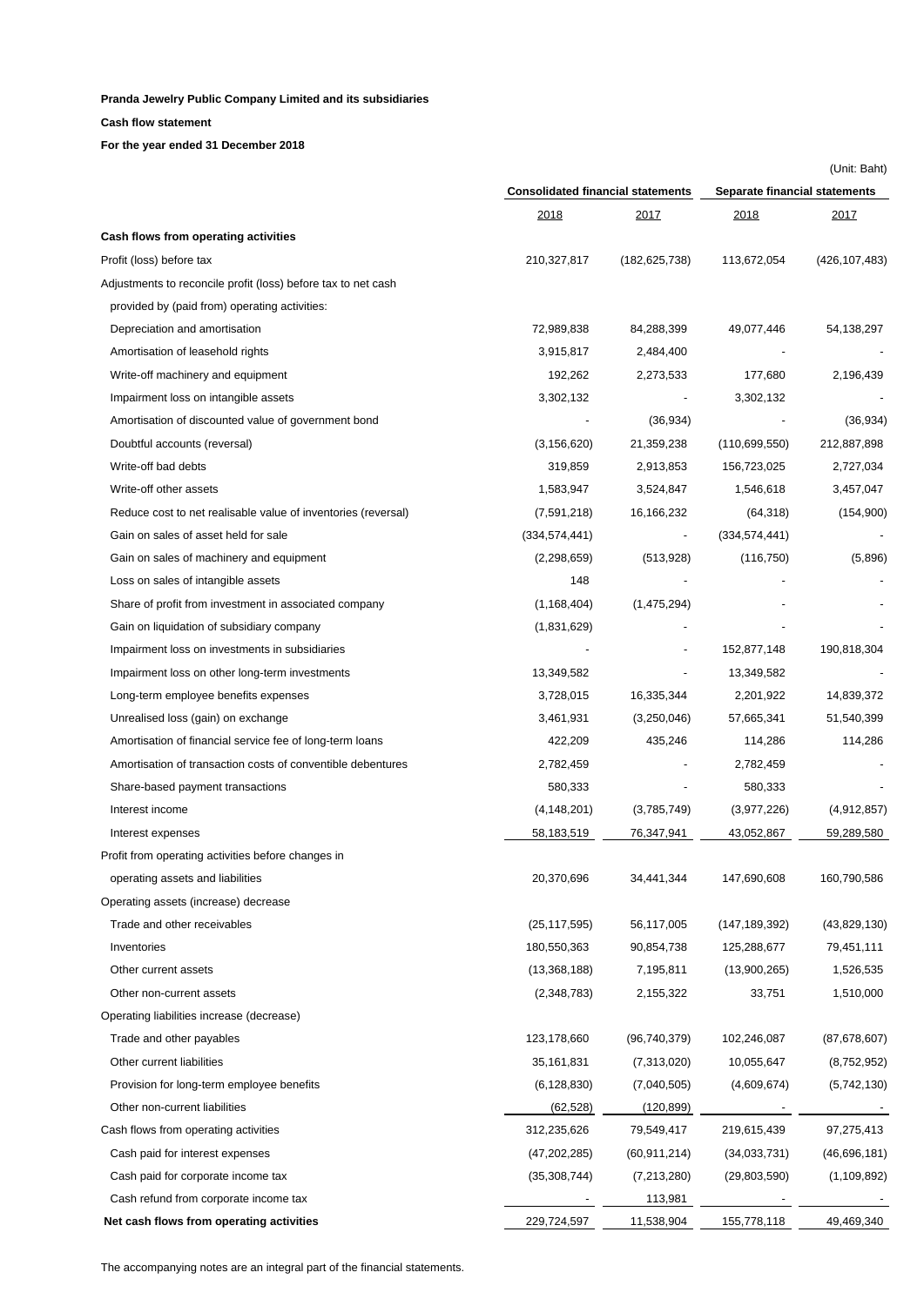**Cash flow statement** 

**For the year ended 31 December 2018**

|                                                               | <b>Consolidated financial statements</b> |                 | Separate financial statements |                 |  |
|---------------------------------------------------------------|------------------------------------------|-----------------|-------------------------------|-----------------|--|
|                                                               | 2018                                     | 2017            | <u> 2018 </u>                 | <u> 2017 </u>   |  |
| Cash flows from operating activities                          |                                          |                 |                               |                 |  |
| Profit (loss) before tax                                      | 210,327,817                              | (182, 625, 738) | 113,672,054                   | (426, 107, 483) |  |
| Adjustments to reconcile profit (loss) before tax to net cash |                                          |                 |                               |                 |  |
| provided by (paid from) operating activities:                 |                                          |                 |                               |                 |  |
| Depreciation and amortisation                                 | 72,989,838                               | 84,288,399      | 49,077,446                    | 54,138,297      |  |
| Amortisation of leasehold rights                              | 3,915,817                                | 2,484,400       |                               |                 |  |
| Write-off machinery and equipment                             | 192,262                                  | 2,273,533       | 177,680                       | 2,196,439       |  |
| Impairment loss on intangible assets                          | 3,302,132                                |                 | 3,302,132                     |                 |  |
| Amortisation of discounted value of government bond           |                                          | (36, 934)       |                               | (36, 934)       |  |
| Doubtful accounts (reversal)                                  | (3, 156, 620)                            | 21,359,238      | (110,699,550)                 | 212,887,898     |  |
| Write-off bad debts                                           | 319,859                                  | 2,913,853       | 156,723,025                   | 2,727,034       |  |
| Write-off other assets                                        | 1,583,947                                | 3,524,847       | 1,546,618                     | 3,457,047       |  |
| Reduce cost to net realisable value of inventories (reversal) | (7,591,218)                              | 16,166,232      | (64, 318)                     | (154,900)       |  |
| Gain on sales of asset held for sale                          | (334, 574, 441)                          |                 | (334, 574, 441)               |                 |  |
| Gain on sales of machinery and equipment                      | (2,298,659)                              | (513, 928)      | (116, 750)                    | (5,896)         |  |
| Loss on sales of intangible assets                            | 148                                      |                 |                               |                 |  |
| Share of profit from investment in associated company         | (1, 168, 404)                            | (1,475,294)     |                               |                 |  |
| Gain on liquidation of subsidiary company                     | (1,831,629)                              |                 |                               |                 |  |
| Impairment loss on investments in subsidiaries                |                                          |                 | 152,877,148                   | 190,818,304     |  |
| Impairment loss on other long-term investments                | 13,349,582                               |                 | 13,349,582                    |                 |  |
| Long-term employee benefits expenses                          | 3,728,015                                | 16,335,344      | 2,201,922                     | 14,839,372      |  |
| Unrealised loss (gain) on exchange                            | 3,461,931                                | (3,250,046)     | 57,665,341                    | 51,540,399      |  |
| Amortisation of financial service fee of long-term loans      | 422,209                                  | 435,246         | 114,286                       | 114,286         |  |
| Amortisation of transaction costs of conventible debentures   | 2,782,459                                |                 | 2,782,459                     |                 |  |
| Share-based payment transactions                              | 580,333                                  |                 | 580,333                       |                 |  |
| Interest income                                               | (4, 148, 201)                            | (3,785,749)     | (3,977,226)                   | (4,912,857)     |  |
| Interest expenses                                             | 58,183,519                               | 76,347,941      | 43,052,867                    | 59,289,580      |  |
| Profit from operating activities before changes in            |                                          |                 |                               |                 |  |
| operating assets and liabilities                              | 20,370,696                               | 34,441,344      | 147,690,608                   | 160,790,586     |  |
| Operating assets (increase) decrease                          |                                          |                 |                               |                 |  |
| Trade and other receivables                                   | (25, 117, 595)                           | 56,117,005      | (147, 189, 392)               | (43,829,130)    |  |
| Inventories                                                   | 180,550,363                              | 90,854,738      | 125,288,677                   | 79,451,111      |  |
| Other current assets                                          | (13,368,188)                             | 7,195,811       | (13,900,265)                  | 1,526,535       |  |
| Other non-current assets                                      | (2,348,783)                              | 2,155,322       | 33,751                        | 1,510,000       |  |
| Operating liabilities increase (decrease)                     |                                          |                 |                               |                 |  |
| Trade and other payables                                      | 123,178,660                              | (96,740,379)    | 102,246,087                   | (87,678,607)    |  |
| Other current liabilities                                     | 35,161,831                               | (7,313,020)     | 10,055,647                    | (8,752,952)     |  |
| Provision for long-term employee benefits                     | (6, 128, 830)                            | (7,040,505)     | (4,609,674)                   | (5,742,130)     |  |
| Other non-current liabilities                                 | (62, 528)                                | (120, 899)      |                               |                 |  |
| Cash flows from operating activities                          | 312,235,626                              | 79,549,417      | 219,615,439                   | 97,275,413      |  |
| Cash paid for interest expenses                               | (47, 202, 285)                           | (60, 911, 214)  | (34,033,731)                  | (46,696,181)    |  |
| Cash paid for corporate income tax                            | (35,308,744)                             | (7,213,280)     | (29,803,590)                  | (1, 109, 892)   |  |
| Cash refund from corporate income tax                         |                                          | 113,981         |                               |                 |  |
| Net cash flows from operating activities                      | 229,724,597                              | 11,538,904      | 155,778,118                   | 49,469,340      |  |
|                                                               |                                          |                 |                               |                 |  |

(Unit: Baht)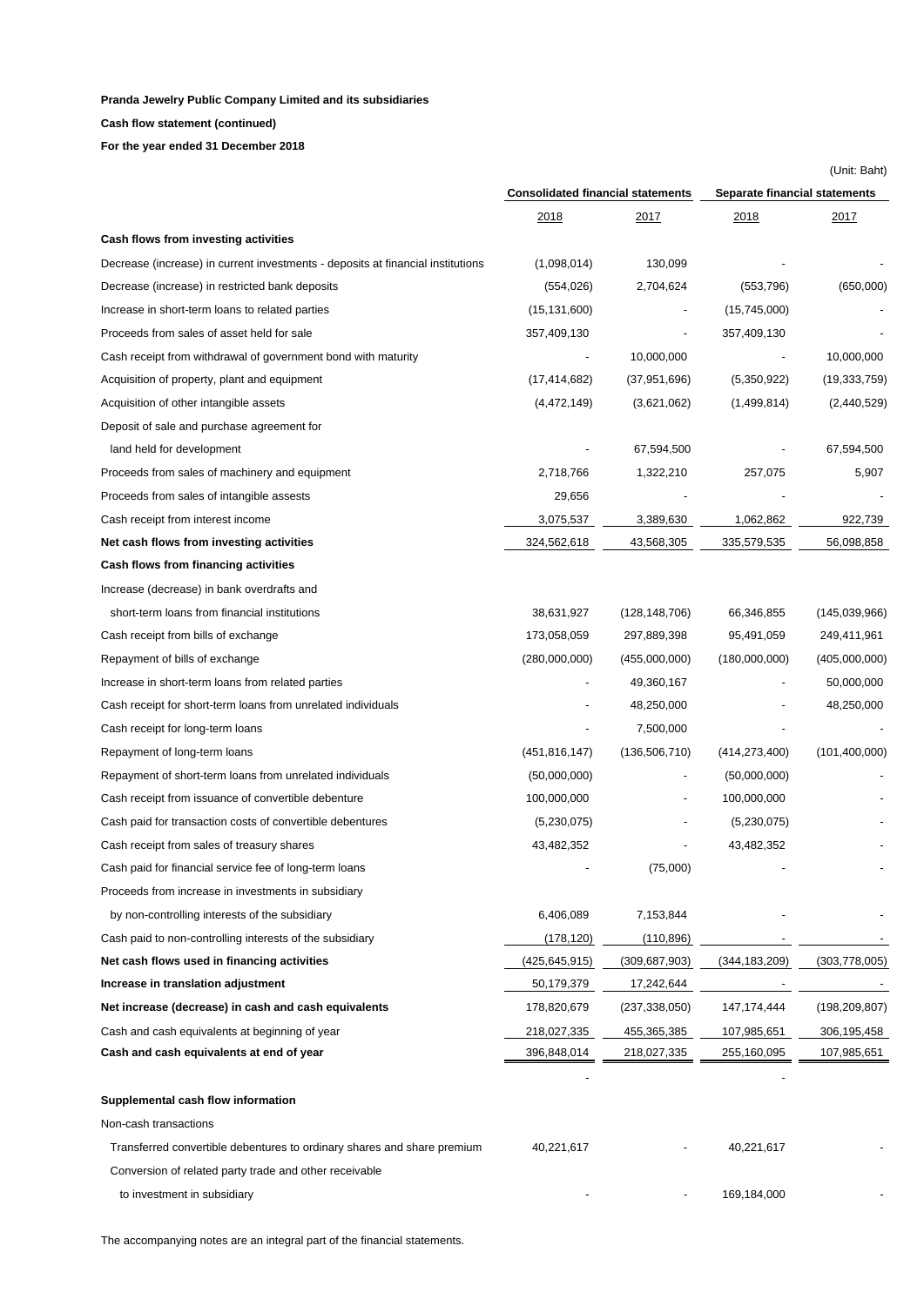**Cash flow statement (continued)**

**For the year ended 31 December 2018**

|                                                                                 | <b>Consolidated financial statements</b> |                 | Separate financial statements |                 |  |
|---------------------------------------------------------------------------------|------------------------------------------|-----------------|-------------------------------|-----------------|--|
|                                                                                 | <u> 2018 </u>                            | <u> 2017 </u>   | <u> 2018 </u>                 | <u> 2017 </u>   |  |
| Cash flows from investing activities                                            |                                          |                 |                               |                 |  |
| Decrease (increase) in current investments - deposits at financial institutions | (1,098,014)                              | 130,099         |                               |                 |  |
| Decrease (increase) in restricted bank deposits                                 | (554, 026)                               | 2,704,624       | (553, 796)                    | (650,000)       |  |
| Increase in short-term loans to related parties                                 | (15, 131, 600)                           |                 | (15,745,000)                  |                 |  |
| Proceeds from sales of asset held for sale                                      | 357,409,130                              |                 | 357,409,130                   |                 |  |
| Cash receipt from withdrawal of government bond with maturity                   |                                          | 10,000,000      |                               | 10,000,000      |  |
| Acquisition of property, plant and equipment                                    | (17, 414, 682)                           | (37, 951, 696)  | (5,350,922)                   | (19, 333, 759)  |  |
| Acquisition of other intangible assets                                          | (4,472,149)                              | (3,621,062)     | (1,499,814)                   | (2,440,529)     |  |
| Deposit of sale and purchase agreement for                                      |                                          |                 |                               |                 |  |
| land held for development                                                       |                                          | 67,594,500      |                               | 67,594,500      |  |
| Proceeds from sales of machinery and equipment                                  | 2,718,766                                | 1,322,210       | 257,075                       | 5,907           |  |
| Proceeds from sales of intangible assests                                       | 29,656                                   |                 |                               |                 |  |
| Cash receipt from interest income                                               | 3,075,537                                | 3,389,630       | 1,062,862                     | 922,739         |  |
| Net cash flows from investing activities                                        | 324,562,618                              | 43,568,305      | 335,579,535                   | 56,098,858      |  |
| Cash flows from financing activities                                            |                                          |                 |                               |                 |  |
| Increase (decrease) in bank overdrafts and                                      |                                          |                 |                               |                 |  |
| short-term loans from financial institutions                                    | 38,631,927                               | (128, 148, 706) | 66,346,855                    | (145,039,966)   |  |
| Cash receipt from bills of exchange                                             | 173,058,059                              | 297,889,398     | 95,491,059                    | 249,411,961     |  |
| Repayment of bills of exchange                                                  | (280,000,000)                            | (455,000,000)   | (180,000,000)                 | (405,000,000)   |  |
| Increase in short-term loans from related parties                               |                                          | 49,360,167      |                               | 50,000,000      |  |
| Cash receipt for short-term loans from unrelated individuals                    |                                          | 48,250,000      |                               | 48,250,000      |  |
| Cash receipt for long-term loans                                                |                                          | 7,500,000       |                               |                 |  |
| Repayment of long-term loans                                                    | (451, 816, 147)                          | (136, 506, 710) | (414, 273, 400)               | (101, 400, 000) |  |
| Repayment of short-term loans from unrelated individuals                        | (50,000,000)                             |                 | (50,000,000)                  |                 |  |
| Cash receipt from issuance of convertible debenture                             | 100,000,000                              |                 | 100,000,000                   |                 |  |
| Cash paid for transaction costs of convertible debentures                       | (5,230,075)                              |                 | (5,230,075)                   |                 |  |
| Cash receipt from sales of treasury shares                                      | 43,482,352                               |                 | 43,482,352                    |                 |  |
| Cash paid for financial service fee of long-term loans                          |                                          | (75,000)        |                               |                 |  |
| Proceeds from increase in investments in subsidiary                             |                                          |                 |                               |                 |  |
| by non-controlling interests of the subsidiary                                  | 6,406,089                                | 7,153,844       |                               |                 |  |
| Cash paid to non-controlling interests of the subsidiary                        | (178, 120)                               | (110, 896)      |                               |                 |  |
| Net cash flows used in financing activities                                     | (425, 645, 915)                          | (309, 687, 903) | (344, 183, 209)               | (303, 778, 005) |  |
| Increase in translation adjustment                                              | 50,179,379                               | 17,242,644      |                               |                 |  |
| Net increase (decrease) in cash and cash equivalents                            | 178,820,679                              | (237, 338, 050) | 147, 174, 444                 | (198, 209, 807) |  |
| Cash and cash equivalents at beginning of year                                  | 218,027,335                              | 455,365,385     | 107,985,651                   | 306,195,458     |  |
| Cash and cash equivalents at end of year                                        | 396,848,014                              | 218,027,335     | 255,160,095                   | 107,985,651     |  |
| Supplemental cash flow information                                              |                                          |                 |                               |                 |  |
| Non-cash transactions                                                           |                                          |                 |                               |                 |  |
| Transferred convertible debentures to ordinary shares and share premium         | 40,221,617                               |                 | 40,221,617                    |                 |  |
| Conversion of related party trade and other receivable                          |                                          |                 |                               |                 |  |
| to investment in subsidiary                                                     |                                          |                 | 169,184,000                   |                 |  |

(Unit: Baht)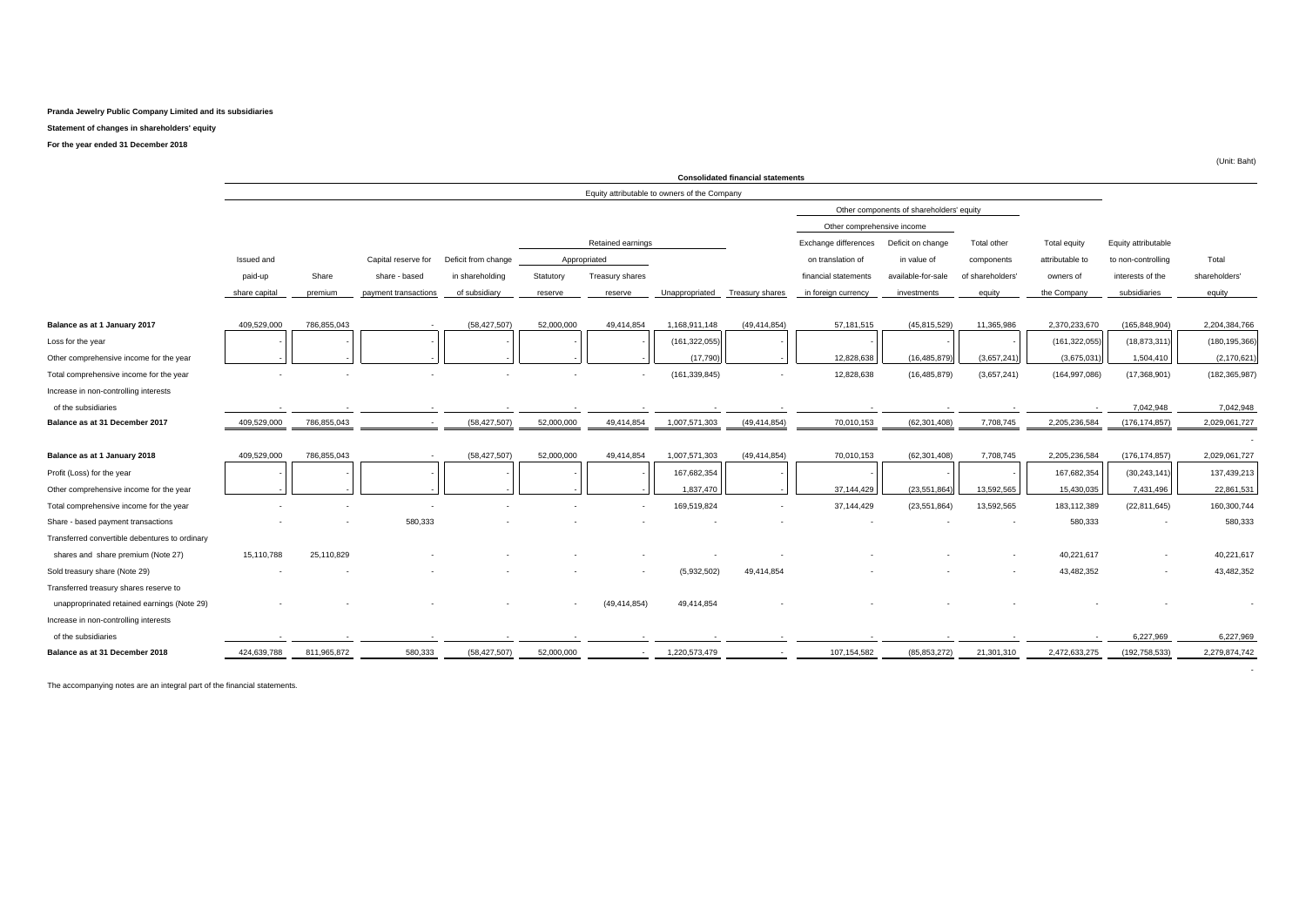#### **Statement of changes in shareholders' equity**

**For the year ended 31 December 2018**

|                                                |               |             |                          |                     |              |                          |                                              | <b>Consolidated financial statements</b> |                            |                                          |                  |                 |                     |                 |
|------------------------------------------------|---------------|-------------|--------------------------|---------------------|--------------|--------------------------|----------------------------------------------|------------------------------------------|----------------------------|------------------------------------------|------------------|-----------------|---------------------|-----------------|
|                                                |               |             |                          |                     |              |                          | Equity attributable to owners of the Company |                                          |                            |                                          |                  |                 |                     |                 |
|                                                |               |             |                          |                     |              |                          |                                              |                                          |                            | Other components of shareholders' equity |                  |                 |                     |                 |
|                                                |               |             |                          |                     |              |                          |                                              |                                          | Other comprehensive income |                                          |                  |                 |                     |                 |
|                                                |               |             |                          |                     |              | Retained earnings        |                                              |                                          | Exchange differences       | Deficit on change                        | Total other      | Total equity    | Equity attributable |                 |
|                                                | Issued and    |             | Capital reserve for      | Deficit from change | Appropriated |                          |                                              |                                          | on translation of          | in value of                              | components       | attributable to | to non-controlling  | Total           |
|                                                | paid-up       | Share       | share - based            | in shareholding     | Statutory    | Treasury shares          |                                              |                                          | financial statements       | available-for-sale                       | of shareholders' | owners of       | interests of the    | shareholders    |
|                                                | share capital | premium     | payment transactions     | of subsidiary       | reserve      | reserve                  | Unappropriated                               | <b>Treasury shares</b>                   | in foreign currency        | investments                              | equity           | the Company     | subsidiaries        | equity          |
|                                                |               |             |                          |                     |              |                          |                                              |                                          |                            |                                          |                  |                 |                     |                 |
| Balance as at 1 January 2017                   | 409,529,000   | 786,855,043 |                          | (58, 427, 507)      | 52,000,000   | 49.414.854               | 1,168,911,148                                | (49, 414, 854)                           | 57,181,515                 | (45, 815, 529)                           | 11,365,986       | 2,370,233,670   | (165, 848, 904)     | 2,204,384,766   |
| Loss for the year                              |               |             |                          |                     |              |                          | (161, 322, 055)                              |                                          |                            |                                          |                  | (161, 322, 055) | (18, 873, 311)      | (180, 195, 366) |
| Other comprehensive income for the year        |               |             |                          |                     |              |                          | (17,790)                                     |                                          | 12,828,638                 | (16, 485, 879)                           | (3,657,241)      | (3,675,031)     | 1,504,410           | (2, 170, 621)   |
| Total comprehensive income for the year        |               |             |                          |                     |              | $\overline{\phantom{a}}$ | (161, 339, 845)                              |                                          | 12,828,638                 | (16, 485, 879)                           | (3,657,241)      | (164, 997, 086) | (17,368,901)        | (182, 365, 987) |
| Increase in non-controlling interests          |               |             |                          |                     |              |                          |                                              |                                          |                            |                                          |                  |                 |                     |                 |
| of the subsidiaries                            |               |             |                          |                     |              |                          |                                              |                                          |                            |                                          |                  |                 | 7,042,948           | 7,042,948       |
| Balance as at 31 December 2017                 | 409,529,000   | 786,855,043 | $\overline{\phantom{a}}$ | (58, 427, 507)      | 52,000,000   | 49,414,854               | 1,007,571,303                                | (49, 414, 854)                           | 70,010,153                 | (62, 301, 408)                           | 7,708,745        | 2,205,236,584   | (176, 174, 857)     | 2,029,061,727   |
|                                                |               |             |                          |                     |              |                          |                                              |                                          |                            |                                          |                  |                 |                     |                 |
| Balance as at 1 January 2018                   | 409.529.000   | 786.855.043 |                          | (58, 427, 507)      | 52,000,000   | 49.414.854               | 1,007,571,303                                | (49, 414, 854)                           | 70,010,153                 | (62, 301, 408)                           | 7,708,745        | 2.205.236.584   | (176, 174, 857)     | 2,029,061,727   |
| Profit (Loss) for the year                     |               |             |                          |                     |              |                          | 167,682,354                                  |                                          |                            |                                          |                  | 167,682,354     | (30, 243, 141)      | 137,439,213     |
| Other comprehensive income for the year        |               |             |                          |                     |              |                          | 1.837.470                                    |                                          | 37.144.429                 | (23.551.864)                             | 13.592.565       | 15.430.035      | 7,431,496           | 22,861,531      |
| Total comprehensive income for the year        |               |             |                          |                     |              |                          | 169,519,824                                  |                                          | 37,144,429                 | (23,551,864)                             | 13,592,565       | 183,112,389     | (22, 811, 645)      | 160,300,744     |
| Share - based payment transactions             |               |             | 580,333                  |                     |              |                          |                                              |                                          |                            |                                          |                  | 580,333         |                     | 580,333         |
| Transferred convertible debentures to ordinary |               |             |                          |                     |              |                          |                                              |                                          |                            |                                          |                  |                 |                     |                 |
| shares and share premium (Note 27)             | 15,110,788    | 25,110,829  |                          |                     |              |                          |                                              |                                          |                            |                                          |                  | 40,221,617      |                     | 40,221,617      |
| Sold treasury share (Note 29)                  |               |             |                          |                     |              |                          | (5,932,502)                                  | 49,414,854                               |                            |                                          |                  | 43,482,352      |                     | 43,482,352      |
| Transferred treasury shares reserve to         |               |             |                          |                     |              |                          |                                              |                                          |                            |                                          |                  |                 |                     |                 |
| unapproprinated retained earnings (Note 29)    |               |             |                          |                     | $\sim$       | (49, 414, 854)           | 49,414,854                                   |                                          |                            |                                          |                  |                 |                     |                 |
| Increase in non-controlling interests          |               |             |                          |                     |              |                          |                                              |                                          |                            |                                          |                  |                 |                     |                 |
| of the subsidiaries                            |               |             |                          |                     |              |                          |                                              |                                          |                            |                                          |                  |                 | 6,227,969           | 6,227,969       |
| Balance as at 31 December 2018                 | 424,639,788   | 811,965,872 | 580.333                  | (58,427,507         | 52,000,000   |                          | 1,220,573,479                                |                                          | 107,154,582                | (85, 853, 272)                           | 21,301,310       | 2,472,633,275   | (192, 758, 533)     | 2,279,874,742   |
|                                                |               |             |                          |                     |              |                          |                                              |                                          |                            |                                          |                  |                 |                     |                 |

The accompanying notes are an integral part of the financial statements.

(Unit: Baht)